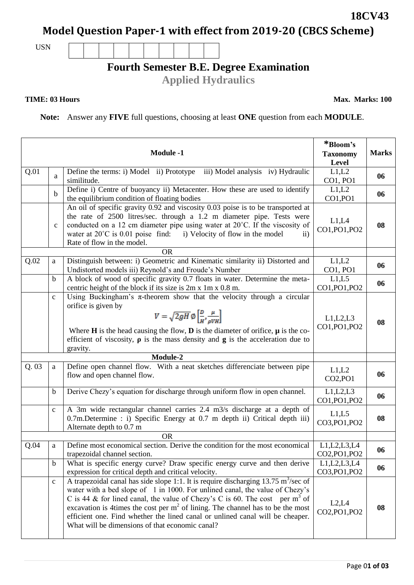Page 0**1 of 03**

# **Model Question Paper-1 with effect from 2019-20 (CBCS Scheme)**

USN

## **Fourth Semester B.E. Degree Examination**

**Applied Hydraulics**

#### **TIME: 03 Hours**

**Max. Marks: 100**

**Note:** Answer any **FIVE** full questions, choosing at least **ONE** question from each **MODULE**.

|      |              | <b>Module -1</b>                                                                                                                                                                                                                                                                                                                                                                                                                                                                                  | *Bloom's<br><b>Taxonomy</b><br>Level      | <b>Marks</b> |
|------|--------------|---------------------------------------------------------------------------------------------------------------------------------------------------------------------------------------------------------------------------------------------------------------------------------------------------------------------------------------------------------------------------------------------------------------------------------------------------------------------------------------------------|-------------------------------------------|--------------|
| Q.01 | a            | Define the terms: i) Model ii) Prototype iii) Model analysis iv) Hydraulic<br>similitude.                                                                                                                                                                                                                                                                                                                                                                                                         | L1,L2<br>CO1, PO1                         | 06           |
|      | $\mathbf b$  | Define i) Centre of buoyancy ii) Metacenter. How these are used to identify<br>the equilibrium condition of floating bodies                                                                                                                                                                                                                                                                                                                                                                       | L1,L2<br>CO1, PO1                         | 06           |
|      | $\mathbf{C}$ | An oil of specific gravity 0.92 and viscosity 0.03 poise is to be transported at<br>the rate of 2500 litres/sec. through a 1.2 m diameter pipe. Tests were<br>conducted on a 12 cm diameter pipe using water at 20°C. If the viscosity of<br>water at $20^{\circ}$ C is 0.01 poise find: i) Velocity of flow in the model<br>$\overline{11}$<br>Rate of flow in the model.                                                                                                                        | L1,L4<br>CO1, PO1, PO2                    | 08           |
|      |              | <b>OR</b>                                                                                                                                                                                                                                                                                                                                                                                                                                                                                         |                                           |              |
| Q.02 | a            | Distinguish between: i) Geometric and Kinematic similarity ii) Distorted and<br>Undistorted models iii) Reynold's and Froude's Number                                                                                                                                                                                                                                                                                                                                                             | L1,L2<br>CO1, PO1                         | 06           |
|      | b            | A block of wood of specific gravity 0.7 floats in water. Determine the meta-<br>centric height of the block if its size is 2m x 1m x 0.8 m.                                                                                                                                                                                                                                                                                                                                                       | L1,L5<br>CO1, PO1, PO2                    | 06           |
|      | $\mathbf{C}$ | Using Buckingham's $\pi$ -theorem show that the velocity through a circular<br>orifice is given by<br>$V = \sqrt{2gH} \varnothing \left[ \frac{D}{H}, \frac{\mu}{\rho V H} \right]$<br>Where <b>H</b> is the head causing the flow, <b>D</b> is the diameter of orifice, $\mu$ is the co-<br>efficient of viscosity, $\rho$ is the mass density and $g$ is the acceleration due to<br>gravity.                                                                                                    | L1, L2, L3<br>CO1, PO1, PO2               | 08           |
|      |              | Module-2                                                                                                                                                                                                                                                                                                                                                                                                                                                                                          |                                           |              |
| Q.03 | a            | Define open channel flow. With a neat sketches differenciate between pipe<br>flow and open channel flow.                                                                                                                                                                                                                                                                                                                                                                                          | L1,L2<br>CO <sub>2</sub> ,PO <sub>1</sub> | 06           |
|      | $\mathbf b$  | Derive Chezy's equation for discharge through uniform flow in open channel.                                                                                                                                                                                                                                                                                                                                                                                                                       | L1, L2, L3<br>CO1, PO1, PO2               | 06           |
|      | $\mathbf{c}$ | A 3m wide rectangular channel carries 2.4 m3/s discharge at a depth of<br>0.7m. Determine : i) Specific Energy at 0.7 m depth ii) Critical depth iii)<br>Alternate depth to 0.7 m                                                                                                                                                                                                                                                                                                                 | L1,L5<br>CO3, PO1, PO2                    | 08           |
|      |              | <b>OR</b>                                                                                                                                                                                                                                                                                                                                                                                                                                                                                         |                                           |              |
| Q.04 | a            | Define most economical section. Derive the condition for the most economical<br>trapezoidal channel section.                                                                                                                                                                                                                                                                                                                                                                                      | L1, L2, L3, L4<br>CO2, PO1, PO2           | 06           |
|      | b            | What is specific energy curve? Draw specific energy curve and then derive<br>expression for critical depth and critical velocity.                                                                                                                                                                                                                                                                                                                                                                 | L1, L2, L3, L4<br>CO3, PO1, PO2           | 06           |
|      | $\mathbf{C}$ | A trapezoidal canal has side slope 1:1. It is require discharging 13.75 m <sup>3</sup> /sec of<br>water with a bed slope of 1 in 1000. For unlined canal, the value of Chezy's<br>C is 44 & for lined canal, the value of Chezy's C is 60. The cost per m <sup>3</sup> of<br>excavation is 4times the cost per $m2$ of lining. The channel has to be the most<br>efficient one. Find whether the lined canal or unlined canal will be cheaper.<br>What will be dimensions of that economic canal? | L2, L4<br>CO2, PO1, PO2                   | 08           |

**18CV43**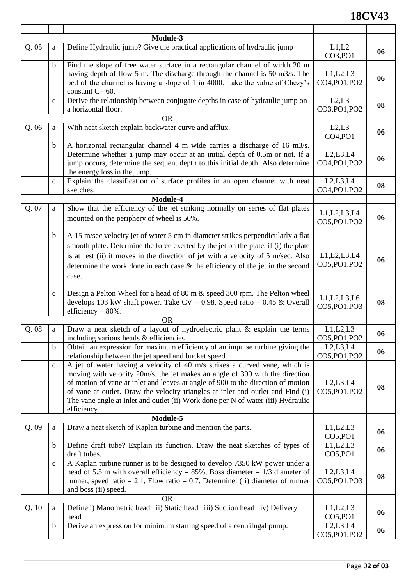### **18CV43**

|       |              | Module-3                                                                                                                                                                                                                                                                                                                                                                                                                            |                                            |    |
|-------|--------------|-------------------------------------------------------------------------------------------------------------------------------------------------------------------------------------------------------------------------------------------------------------------------------------------------------------------------------------------------------------------------------------------------------------------------------------|--------------------------------------------|----|
| Q.05  | a            | Define Hydraulic jump? Give the practical applications of hydraulic jump                                                                                                                                                                                                                                                                                                                                                            | L1,L2<br>CO3, PO1                          | 06 |
|       | b            | Find the slope of free water surface in a rectangular channel of width 20 m<br>having depth of flow 5 m. The discharge through the channel is 50 m3/s. The<br>bed of the channel is having a slope of 1 in 4000. Take the value of Chezy's<br>constant $C = 60$ .                                                                                                                                                                   | L1,L2,L3<br>CO4, PO1, PO2                  | 06 |
|       | $\mathbf{C}$ | Derive the relationship between conjugate depths in case of hydraulic jump on<br>a horizontal floor.                                                                                                                                                                                                                                                                                                                                | L2,L3<br>CO3, PO1, PO2                     | 08 |
|       |              | <b>OR</b>                                                                                                                                                                                                                                                                                                                                                                                                                           |                                            |    |
| Q.06  | a            | With neat sketch explain backwater curve and afflux.                                                                                                                                                                                                                                                                                                                                                                                | L2, L3<br>CO <sub>4</sub> ,PO <sub>1</sub> | 06 |
|       | b            | A horizontal rectangular channel 4 m wide carries a discharge of 16 m3/s.<br>Determine whether a jump may occur at an initial depth of 0.5m or not. If a<br>jump occurs, determine the sequent depth to this initial depth. Also determine<br>the energy loss in the jump.                                                                                                                                                          | L2,L3,L4<br>CO4, PO1, PO2                  | 06 |
|       | $\mathbf{C}$ | Explain the classification of surface profiles in an open channel with neat<br>sketches.                                                                                                                                                                                                                                                                                                                                            | L2,L3,L4<br>CO4, PO1, PO2                  | 08 |
|       |              | Module-4                                                                                                                                                                                                                                                                                                                                                                                                                            |                                            |    |
| Q. 07 | a            | Show that the efficiency of the jet striking normally on series of flat plates<br>mounted on the periphery of wheel is 50%.                                                                                                                                                                                                                                                                                                         | L1, L2, L3, L4<br>CO5, PO1, PO2            | 06 |
|       | $\mathbf b$  | A 15 m/sec velocity jet of water 5 cm in diameter strikes perpendicularly a flat<br>smooth plate. Determine the force exerted by the jet on the plate, if (i) the plate<br>is at rest (ii) it moves in the direction of jet with a velocity of 5 m/sec. Also<br>determine the work done in each case $\&$ the efficiency of the jet in the second<br>case.                                                                          | L1, L2, L3, L4<br>CO5, PO1, PO2            | 06 |
|       | $\mathbf{C}$ | Design a Pelton Wheel for a head of 80 m & speed 300 rpm. The Pelton wheel<br>develops 103 kW shaft power. Take $CV = 0.98$ , Speed ratio = 0.45 & Overall<br>efficiency = $80\%$ .                                                                                                                                                                                                                                                 | L1, L2, L3, L6<br>CO5, PO1, PO3            | 08 |
|       |              | <b>OR</b>                                                                                                                                                                                                                                                                                                                                                                                                                           |                                            |    |
| Q.08  | a            | Draw a neat sketch of a layout of hydroelectric plant & explain the terms<br>including various heads & efficiencies                                                                                                                                                                                                                                                                                                                 | L1,L2,L3<br>CO5, PO1, PO2                  | 06 |
|       | $\mathbf b$  | Obtain an expression for maximum efficiency of an impulse turbine giving the<br>relationship between the jet speed and bucket speed.                                                                                                                                                                                                                                                                                                | L2, L3, L4<br>CO5, PO1, PO2                | 06 |
|       | $\mathbf{C}$ | A jet of water having a velocity of 40 m/s strikes a curved vane, which is<br>moving with velocity 20m/s. the jet makes an angle of 300 with the direction<br>of motion of vane at inlet and leaves at angle of 900 to the direction of motion<br>of vane at outlet. Draw the velocity triangles at inlet and outlet and Find (i)<br>The vane angle at inlet and outlet (ii) Work done per N of water (iii) Hydraulic<br>efficiency | L2,L3,L4<br>CO5, PO1, PO2                  | 08 |
|       |              | Module-5                                                                                                                                                                                                                                                                                                                                                                                                                            |                                            |    |
| Q.09  | a            | Draw a neat sketch of Kaplan turbine and mention the parts.                                                                                                                                                                                                                                                                                                                                                                         | L1,L2,L3<br>CO5, PO1                       | 06 |
|       | $\mathbf b$  | Define draft tube? Explain its function. Draw the neat sketches of types of<br>draft tubes.                                                                                                                                                                                                                                                                                                                                         | L1,L2,L3<br>CO5, PO1                       | 06 |
|       | $\mathbf{C}$ | A Kaplan turbine runner is to be designed to develop 7350 kW power under a<br>head of 5.5 m with overall efficiency = $85\%$ , Boss diameter = $1/3$ diameter of<br>runner, speed ratio = 2.1, Flow ratio = 0.7. Determine: (i) diameter of runner<br>and boss (ii) speed.                                                                                                                                                          | L2,L3,L4<br>CO5, PO1. PO3                  | 08 |
|       |              | <b>OR</b>                                                                                                                                                                                                                                                                                                                                                                                                                           |                                            |    |
| Q.10  | a            | Define i) Manometric head ii) Static head iii) Suction head iv) Delivery<br>head                                                                                                                                                                                                                                                                                                                                                    | L1,L2,L3<br>CO5, PO1                       | 06 |
|       | $\mathbf b$  | Derive an expression for minimum starting speed of a centrifugal pump.                                                                                                                                                                                                                                                                                                                                                              | L2,L3,L4<br>CO5, PO1, PO2                  | 06 |